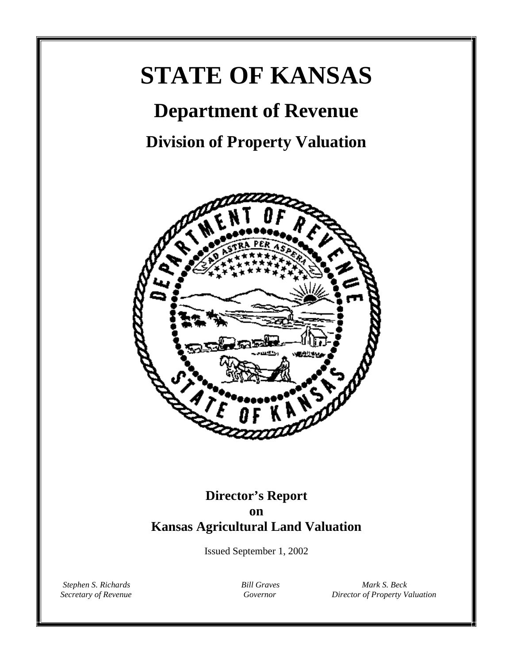# **STATE OF KANSAS**

## **Department of Revenue**

**Division of Property Valuation**



### **Director's Report on Kansas Agricultural Land Valuation**

Issued September 1, 2002

*Stephen S. Richards Bill Graves Mark S. Beck*<br>*Secretary of Revenue Bill Graves Bill Graves Director of Property V Secretary of Revenue Governor Director of Property Valuation*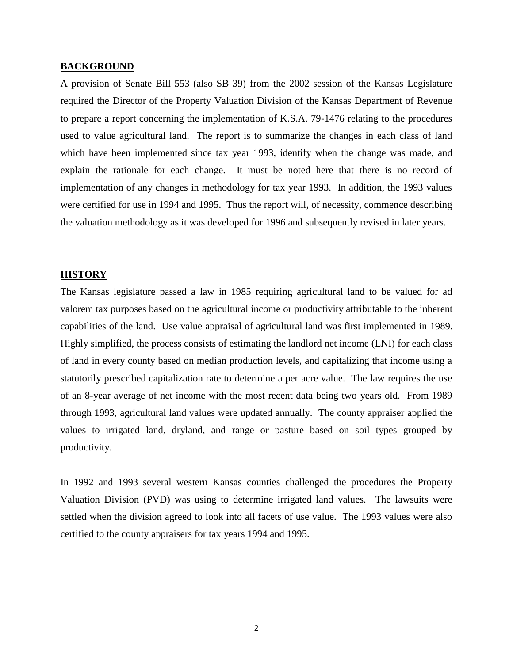#### **BACKGROUND**

A provision of Senate Bill 553 (also SB 39) from the 2002 session of the Kansas Legislature required the Director of the Property Valuation Division of the Kansas Department of Revenue to prepare a report concerning the implementation of K.S.A. 79-1476 relating to the procedures used to value agricultural land. The report is to summarize the changes in each class of land which have been implemented since tax year 1993, identify when the change was made, and explain the rationale for each change. It must be noted here that there is no record of implementation of any changes in methodology for tax year 1993. In addition, the 1993 values were certified for use in 1994 and 1995. Thus the report will, of necessity, commence describing the valuation methodology as it was developed for 1996 and subsequently revised in later years.

#### **HISTORY**

The Kansas legislature passed a law in 1985 requiring agricultural land to be valued for ad valorem tax purposes based on the agricultural income or productivity attributable to the inherent capabilities of the land. Use value appraisal of agricultural land was first implemented in 1989. Highly simplified, the process consists of estimating the landlord net income (LNI) for each class of land in every county based on median production levels, and capitalizing that income using a statutorily prescribed capitalization rate to determine a per acre value. The law requires the use of an 8-year average of net income with the most recent data being two years old. From 1989 through 1993, agricultural land values were updated annually. The county appraiser applied the values to irrigated land, dryland, and range or pasture based on soil types grouped by productivity.

In 1992 and 1993 several western Kansas counties challenged the procedures the Property Valuation Division (PVD) was using to determine irrigated land values. The lawsuits were settled when the division agreed to look into all facets of use value. The 1993 values were also certified to the county appraisers for tax years 1994 and 1995.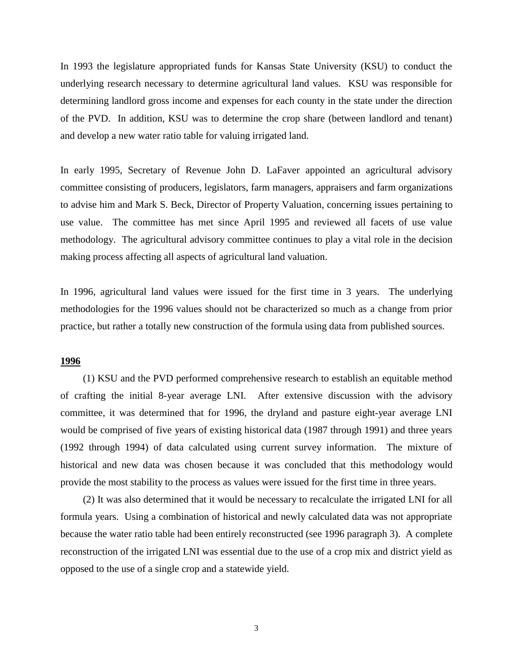In 1993 the legislature appropriated funds for Kansas State University (KSU) to conduct the underlying research necessary to determine agricultural land values. KSU was responsible for determining landlord gross income and expenses for each county in the state under the direction of the PVD. In addition, KSU was to determine the crop share (between landlord and tenant) and develop a new water ratio table for valuing irrigated land.

In early 1995, Secretary of Revenue John D. LaFaver appointed an agricultural advisory committee consisting of producers, legislators, farm managers, appraisers and farm organizations to advise him and Mark S. Beck, Director of Property Valuation, concerning issues pertaining to use value. The committee has met since April 1995 and reviewed all facets of use value methodology. The agricultural advisory committee continues to play a vital role in the decision making process affecting all aspects of agricultural land valuation.

In 1996, agricultural land values were issued for the first time in 3 years. The underlying methodologies for the 1996 values should not be characterized so much as a change from prior practice, but rather a totally new construction of the formula using data from published sources.

#### **1996**

(1) KSU and the PVD performed comprehensive research to establish an equitable method of crafting the initial 8-year average LNI. After extensive discussion with the advisory committee, it was determined that for 1996, the dryland and pasture eight-year average LNI would be comprised of five years of existing historical data (1987 through 1991) and three years (1992 through 1994) of data calculated using current survey information. The mixture of historical and new data was chosen because it was concluded that this methodology would provide the most stability to the process as values were issued for the first time in three years.

(2) It was also determined that it would be necessary to recalculate the irrigated LNI for all formula years. Using a combination of historical and newly calculated data was not appropriate because the water ratio table had been entirely reconstructed (see 1996 paragraph 3). A complete reconstruction of the irrigated LNI was essential due to the use of a crop mix and district yield as opposed to the use of a single crop and a statewide yield.

3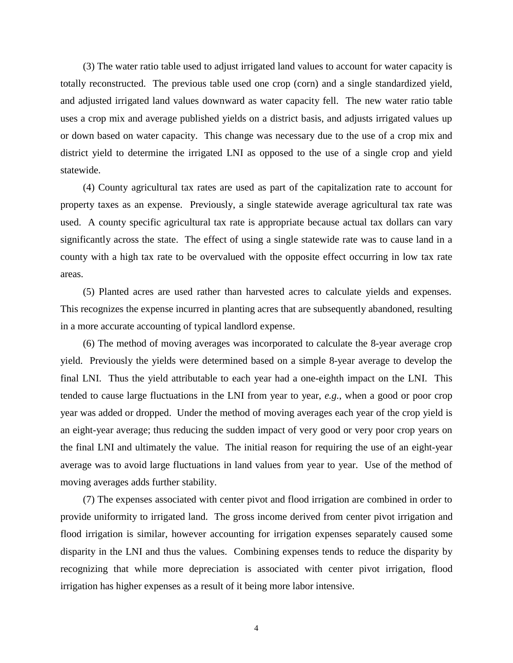(3) The water ratio table used to adjust irrigated land values to account for water capacity is totally reconstructed. The previous table used one crop (corn) and a single standardized yield, and adjusted irrigated land values downward as water capacity fell. The new water ratio table uses a crop mix and average published yields on a district basis, and adjusts irrigated values up or down based on water capacity. This change was necessary due to the use of a crop mix and district yield to determine the irrigated LNI as opposed to the use of a single crop and yield statewide.

(4) County agricultural tax rates are used as part of the capitalization rate to account for property taxes as an expense. Previously, a single statewide average agricultural tax rate was used. A county specific agricultural tax rate is appropriate because actual tax dollars can vary significantly across the state. The effect of using a single statewide rate was to cause land in a county with a high tax rate to be overvalued with the opposite effect occurring in low tax rate areas.

(5) Planted acres are used rather than harvested acres to calculate yields and expenses. This recognizes the expense incurred in planting acres that are subsequently abandoned, resulting in a more accurate accounting of typical landlord expense.

(6) The method of moving averages was incorporated to calculate the 8-year average crop yield. Previously the yields were determined based on a simple 8-year average to develop the final LNI. Thus the yield attributable to each year had a one-eighth impact on the LNI. This tended to cause large fluctuations in the LNI from year to year, *e.g.*, when a good or poor crop year was added or dropped. Under the method of moving averages each year of the crop yield is an eight-year average; thus reducing the sudden impact of very good or very poor crop years on the final LNI and ultimately the value. The initial reason for requiring the use of an eight-year average was to avoid large fluctuations in land values from year to year. Use of the method of moving averages adds further stability.

(7) The expenses associated with center pivot and flood irrigation are combined in order to provide uniformity to irrigated land. The gross income derived from center pivot irrigation and flood irrigation is similar, however accounting for irrigation expenses separately caused some disparity in the LNI and thus the values. Combining expenses tends to reduce the disparity by recognizing that while more depreciation is associated with center pivot irrigation, flood irrigation has higher expenses as a result of it being more labor intensive.

4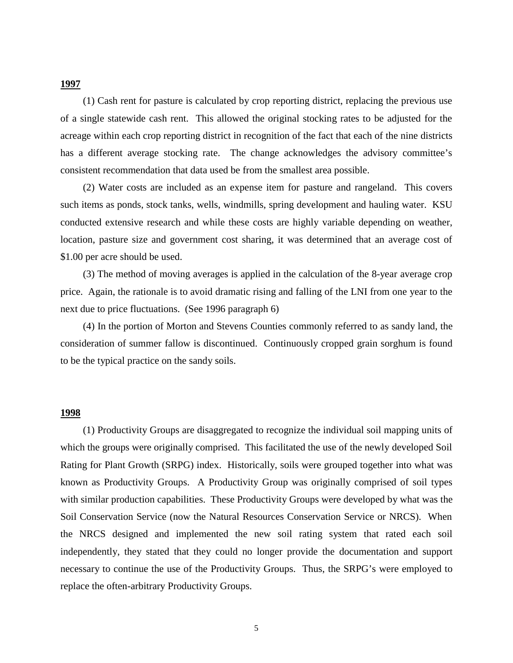#### **1997**

(1) Cash rent for pasture is calculated by crop reporting district, replacing the previous use of a single statewide cash rent. This allowed the original stocking rates to be adjusted for the acreage within each crop reporting district in recognition of the fact that each of the nine districts has a different average stocking rate. The change acknowledges the advisory committee's consistent recommendation that data used be from the smallest area possible.

(2) Water costs are included as an expense item for pasture and rangeland. This covers such items as ponds, stock tanks, wells, windmills, spring development and hauling water. KSU conducted extensive research and while these costs are highly variable depending on weather, location, pasture size and government cost sharing, it was determined that an average cost of \$1.00 per acre should be used.

(3) The method of moving averages is applied in the calculation of the 8-year average crop price. Again, the rationale is to avoid dramatic rising and falling of the LNI from one year to the next due to price fluctuations. (See 1996 paragraph 6)

(4) In the portion of Morton and Stevens Counties commonly referred to as sandy land, the consideration of summer fallow is discontinued. Continuously cropped grain sorghum is found to be the typical practice on the sandy soils.

#### **1998**

(1) Productivity Groups are disaggregated to recognize the individual soil mapping units of which the groups were originally comprised. This facilitated the use of the newly developed Soil Rating for Plant Growth (SRPG) index. Historically, soils were grouped together into what was known as Productivity Groups. A Productivity Group was originally comprised of soil types with similar production capabilities. These Productivity Groups were developed by what was the Soil Conservation Service (now the Natural Resources Conservation Service or NRCS). When the NRCS designed and implemented the new soil rating system that rated each soil independently, they stated that they could no longer provide the documentation and support necessary to continue the use of the Productivity Groups. Thus, the SRPG's were employed to replace the often-arbitrary Productivity Groups.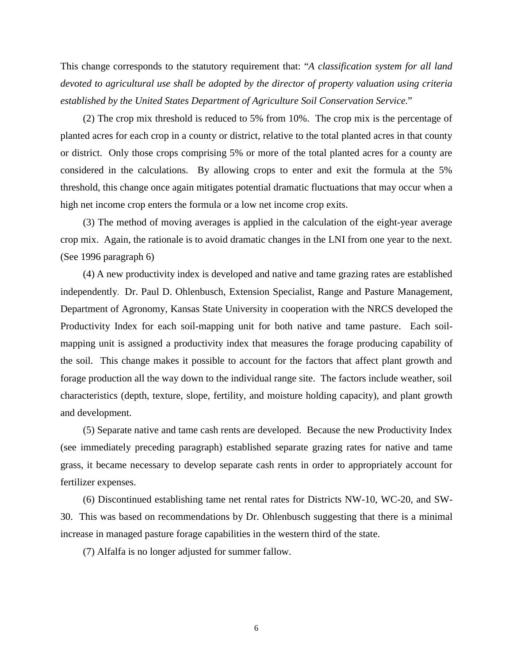This change corresponds to the statutory requirement that: "*A classification system for all land devoted to agricultural use shall be adopted by the director of property valuation using criteria established by the United States Department of Agriculture Soil Conservation Service.*"

(2) The crop mix threshold is reduced to 5% from 10%. The crop mix is the percentage of planted acres for each crop in a county or district, relative to the total planted acres in that county or district. Only those crops comprising 5% or more of the total planted acres for a county are considered in the calculations. By allowing crops to enter and exit the formula at the 5% threshold, this change once again mitigates potential dramatic fluctuations that may occur when a high net income crop enters the formula or a low net income crop exits.

(3) The method of moving averages is applied in the calculation of the eight-year average crop mix. Again, the rationale is to avoid dramatic changes in the LNI from one year to the next. (See 1996 paragraph 6)

(4) A new productivity index is developed and native and tame grazing rates are established independently. Dr. Paul D. Ohlenbusch, Extension Specialist, Range and Pasture Management, Department of Agronomy, Kansas State University in cooperation with the NRCS developed the Productivity Index for each soil-mapping unit for both native and tame pasture. Each soilmapping unit is assigned a productivity index that measures the forage producing capability of the soil. This change makes it possible to account for the factors that affect plant growth and forage production all the way down to the individual range site. The factors include weather, soil characteristics (depth, texture, slope, fertility, and moisture holding capacity), and plant growth and development.

(5) Separate native and tame cash rents are developed. Because the new Productivity Index (see immediately preceding paragraph) established separate grazing rates for native and tame grass, it became necessary to develop separate cash rents in order to appropriately account for fertilizer expenses.

(6) Discontinued establishing tame net rental rates for Districts NW-10, WC-20, and SW-30. This was based on recommendations by Dr. Ohlenbusch suggesting that there is a minimal increase in managed pasture forage capabilities in the western third of the state.

(7) Alfalfa is no longer adjusted for summer fallow.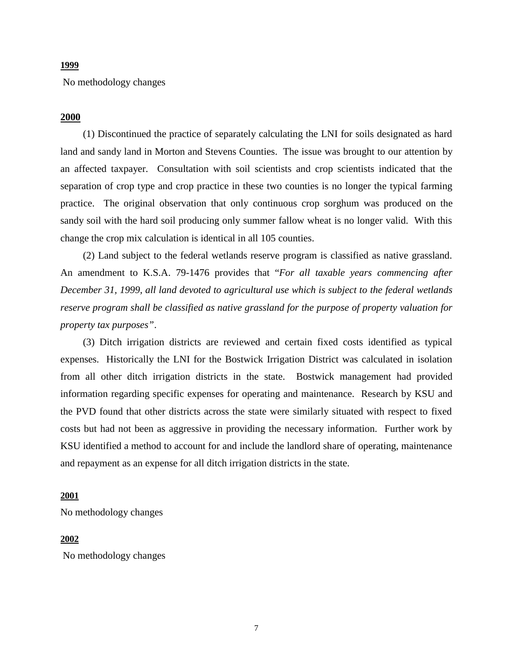#### **1999**

No methodology changes

#### **2000**

(1) Discontinued the practice of separately calculating the LNI for soils designated as hard land and sandy land in Morton and Stevens Counties. The issue was brought to our attention by an affected taxpayer. Consultation with soil scientists and crop scientists indicated that the separation of crop type and crop practice in these two counties is no longer the typical farming practice. The original observation that only continuous crop sorghum was produced on the sandy soil with the hard soil producing only summer fallow wheat is no longer valid. With this change the crop mix calculation is identical in all 105 counties.

(2) Land subject to the federal wetlands reserve program is classified as native grassland. An amendment to K.S.A. 79-1476 provides that "*For all taxable years commencing after December 31, 1999, all land devoted to agricultural use which is subject to the federal wetlands reserve program shall be classified as native grassland for the purpose of property valuation for property tax purposes"*.

(3) Ditch irrigation districts are reviewed and certain fixed costs identified as typical expenses. Historically the LNI for the Bostwick Irrigation District was calculated in isolation from all other ditch irrigation districts in the state. Bostwick management had provided information regarding specific expenses for operating and maintenance. Research by KSU and the PVD found that other districts across the state were similarly situated with respect to fixed costs but had not been as aggressive in providing the necessary information. Further work by KSU identified a method to account for and include the landlord share of operating, maintenance and repayment as an expense for all ditch irrigation districts in the state.

#### **2001**

No methodology changes

#### **2002**

No methodology changes